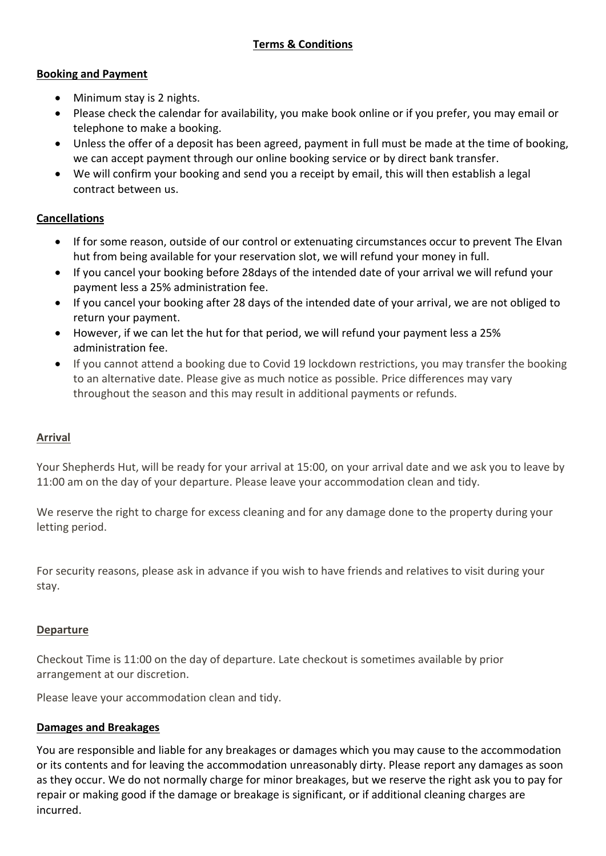## **Booking and Payment**

- Minimum stay is 2 nights.
- Please check the calendar for availability, you make book online or if you prefer, you may email or telephone to make a booking.
- Unless the offer of a deposit has been agreed, payment in full must be made at the time of booking, we can accept payment through our online booking service or by direct bank transfer.
- We will confirm your booking and send you a receipt by email, this will then establish a legal contract between us.

# **Cancellations**

- If for some reason, outside of our control or extenuating circumstances occur to prevent The Elvan hut from being available for your reservation slot, we will refund your money in full.
- If you cancel your booking before 28days of the intended date of your arrival we will refund your payment less a 25% administration fee.
- If you cancel your booking after 28 days of the intended date of your arrival, we are not obliged to return your payment.
- However, if we can let the hut for that period, we will refund your payment less a 25% administration fee.
- If you cannot attend a booking due to Covid 19 lockdown restrictions, you may transfer the booking to an alternative date. Please give as much notice as possible. Price differences may vary throughout the season and this may result in additional payments or refunds.

## **Arrival**

Your Shepherds Hut, will be ready for your arrival at 15:00, on your arrival date and we ask you to leave by 11:00 am on the day of your departure. Please leave your accommodation clean and tidy.

We reserve the right to charge for excess cleaning and for any damage done to the property during your letting period.

For security reasons, please ask in advance if you wish to have friends and relatives to visit during your stay.

## **Departure**

Checkout Time is 11:00 on the day of departure. Late checkout is sometimes available by prior arrangement at our discretion.

Please leave your accommodation clean and tidy.

## **Damages and Breakages**

You are responsible and liable for any breakages or damages which you may cause to the accommodation or its contents and for leaving the accommodation unreasonably dirty. Please report any damages as soon as they occur. We do not normally charge for minor breakages, but we reserve the right ask you to pay for repair or making good if the damage or breakage is significant, or if additional cleaning charges are incurred.